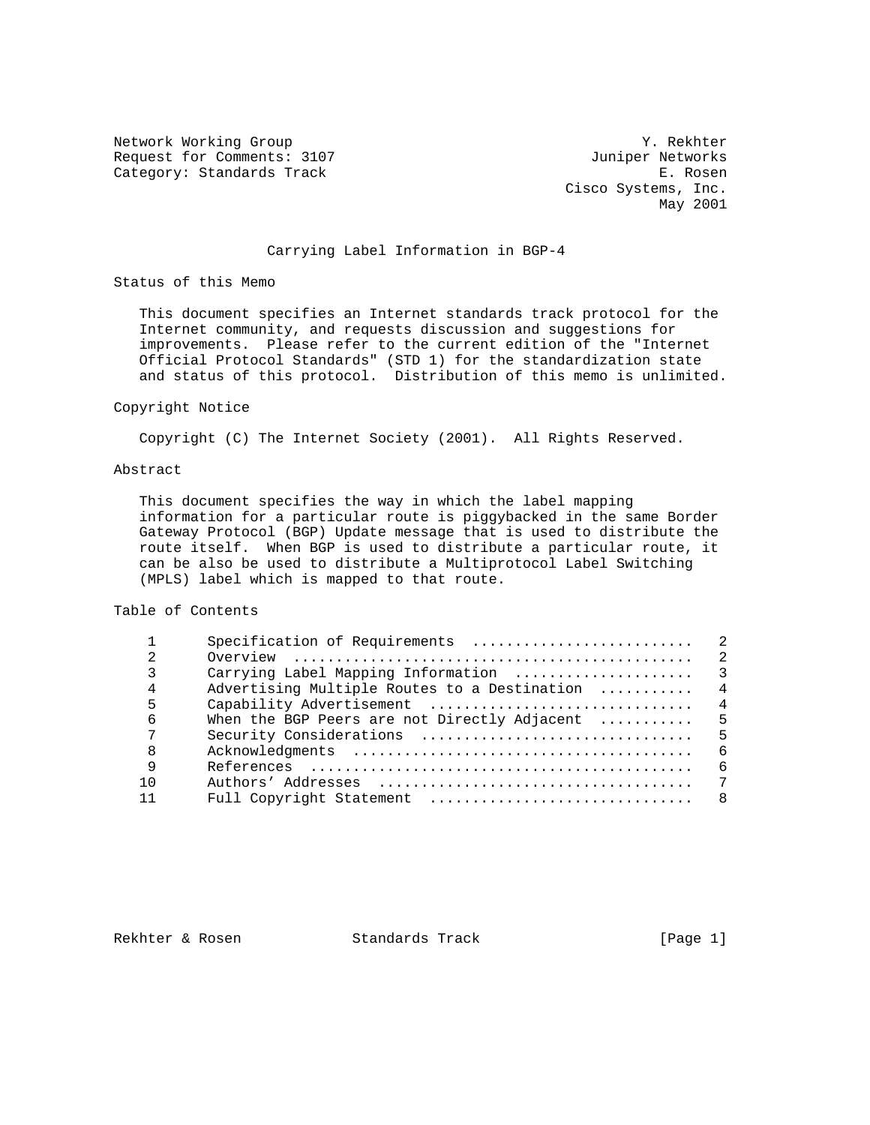Network Working Group Team Accounts the U.S. of the Media of the World State of the World State of the World St Request for Comments: 3107 Juniper Networks<br>
Category: Standards Track B. Rosen Category: Standards Track

 Cisco Systems, Inc. May 2001

### Carrying Label Information in BGP-4

Status of this Memo

 This document specifies an Internet standards track protocol for the Internet community, and requests discussion and suggestions for improvements. Please refer to the current edition of the "Internet Official Protocol Standards" (STD 1) for the standardization state and status of this protocol. Distribution of this memo is unlimited.

#### Copyright Notice

Copyright (C) The Internet Society (2001). All Rights Reserved.

#### Abstract

 This document specifies the way in which the label mapping information for a particular route is piggybacked in the same Border Gateway Protocol (BGP) Update message that is used to distribute the route itself. When BGP is used to distribute a particular route, it can be also be used to distribute a Multiprotocol Label Switching (MPLS) label which is mapped to that route.

# Table of Contents

| 2   |                                                 |                |
|-----|-------------------------------------------------|----------------|
| 3   |                                                 |                |
| 4   | Advertising Multiple Routes to a Destination  4 |                |
| 5   |                                                 |                |
| 6   | When the BGP Peers are not Directly Adjacent  5 |                |
| 7   |                                                 |                |
| 8   |                                                 | 6              |
| 9   |                                                 | 6              |
| 1 N |                                                 | $\overline{7}$ |
|     |                                                 |                |

Rekhter & Rosen Standards Track [Page 1]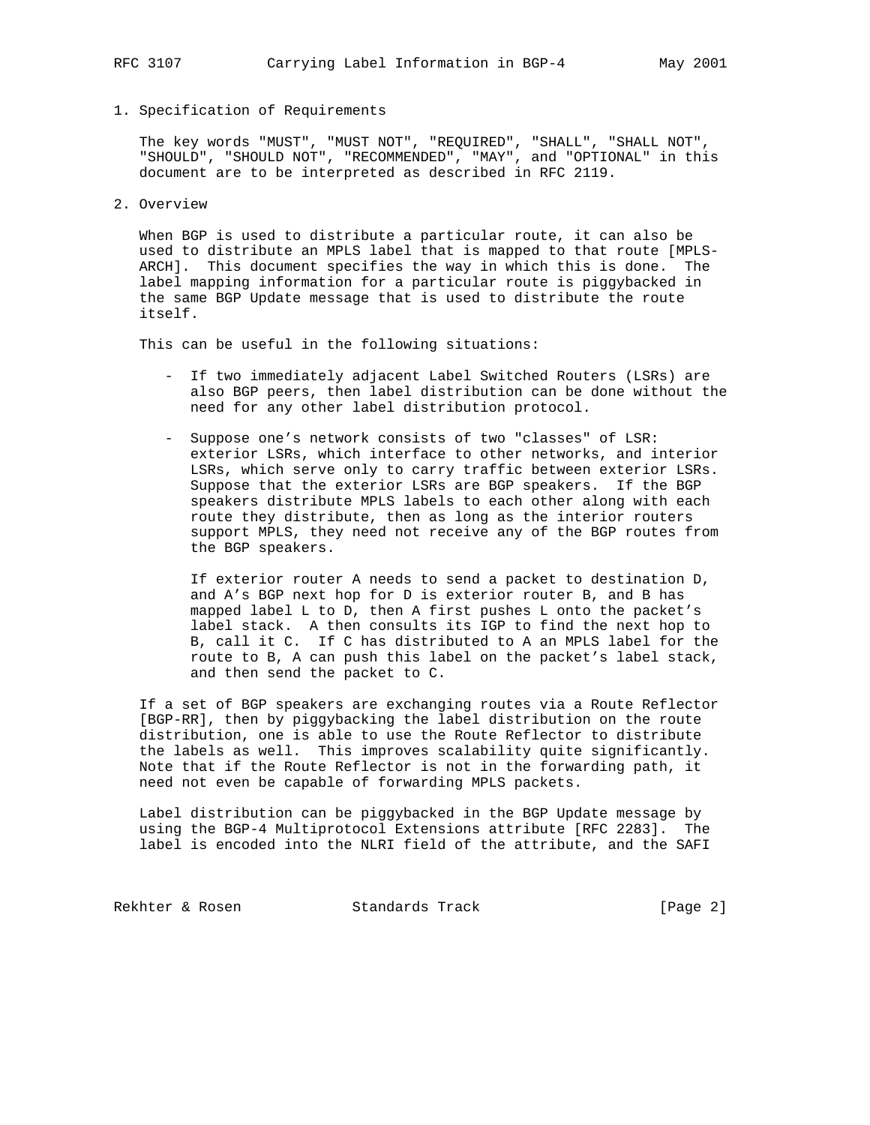1. Specification of Requirements

 The key words "MUST", "MUST NOT", "REQUIRED", "SHALL", "SHALL NOT", "SHOULD", "SHOULD NOT", "RECOMMENDED", "MAY", and "OPTIONAL" in this document are to be interpreted as described in RFC 2119.

2. Overview

 When BGP is used to distribute a particular route, it can also be used to distribute an MPLS label that is mapped to that route [MPLS- ARCH]. This document specifies the way in which this is done. The label mapping information for a particular route is piggybacked in the same BGP Update message that is used to distribute the route itself.

This can be useful in the following situations:

- If two immediately adjacent Label Switched Routers (LSRs) are also BGP peers, then label distribution can be done without the need for any other label distribution protocol.
- Suppose one's network consists of two "classes" of LSR: exterior LSRs, which interface to other networks, and interior LSRs, which serve only to carry traffic between exterior LSRs. Suppose that the exterior LSRs are BGP speakers. If the BGP speakers distribute MPLS labels to each other along with each route they distribute, then as long as the interior routers support MPLS, they need not receive any of the BGP routes from the BGP speakers.

 If exterior router A needs to send a packet to destination D, and A's BGP next hop for D is exterior router B, and B has mapped label L to D, then A first pushes L onto the packet's label stack. A then consults its IGP to find the next hop to B, call it C. If C has distributed to A an MPLS label for the route to B, A can push this label on the packet's label stack, and then send the packet to C.

 If a set of BGP speakers are exchanging routes via a Route Reflector [BGP-RR], then by piggybacking the label distribution on the route distribution, one is able to use the Route Reflector to distribute the labels as well. This improves scalability quite significantly. Note that if the Route Reflector is not in the forwarding path, it need not even be capable of forwarding MPLS packets.

 Label distribution can be piggybacked in the BGP Update message by using the BGP-4 Multiprotocol Extensions attribute [RFC 2283]. The label is encoded into the NLRI field of the attribute, and the SAFI

Rekhter & Rosen Standards Track [Page 2]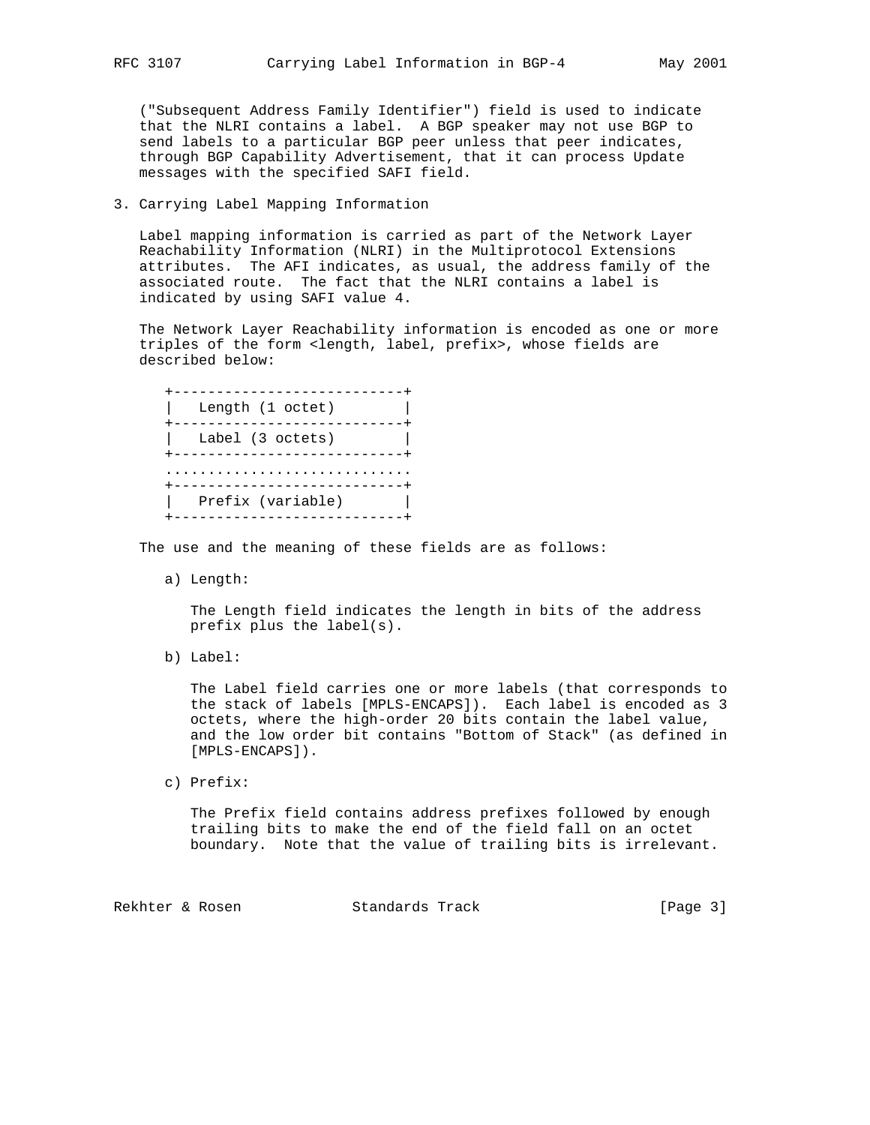("Subsequent Address Family Identifier") field is used to indicate that the NLRI contains a label. A BGP speaker may not use BGP to send labels to a particular BGP peer unless that peer indicates, through BGP Capability Advertisement, that it can process Update messages with the specified SAFI field.

### 3. Carrying Label Mapping Information

 Label mapping information is carried as part of the Network Layer Reachability Information (NLRI) in the Multiprotocol Extensions attributes. The AFI indicates, as usual, the address family of the associated route. The fact that the NLRI contains a label is indicated by using SAFI value 4.

 The Network Layer Reachability information is encoded as one or more triples of the form <length, label, prefix>, whose fields are described below:

| Length (1 octet)  |
|-------------------|
| Label (3 octets)  |
|                   |
| Prefix (variable) |

The use and the meaning of these fields are as follows:

a) Length:

 The Length field indicates the length in bits of the address prefix plus the label(s).

b) Label:

 The Label field carries one or more labels (that corresponds to the stack of labels [MPLS-ENCAPS]). Each label is encoded as 3 octets, where the high-order 20 bits contain the label value, and the low order bit contains "Bottom of Stack" (as defined in [MPLS-ENCAPS]).

c) Prefix:

 The Prefix field contains address prefixes followed by enough trailing bits to make the end of the field fall on an octet boundary. Note that the value of trailing bits is irrelevant.

Rekhter & Rosen Standards Track [Page 3]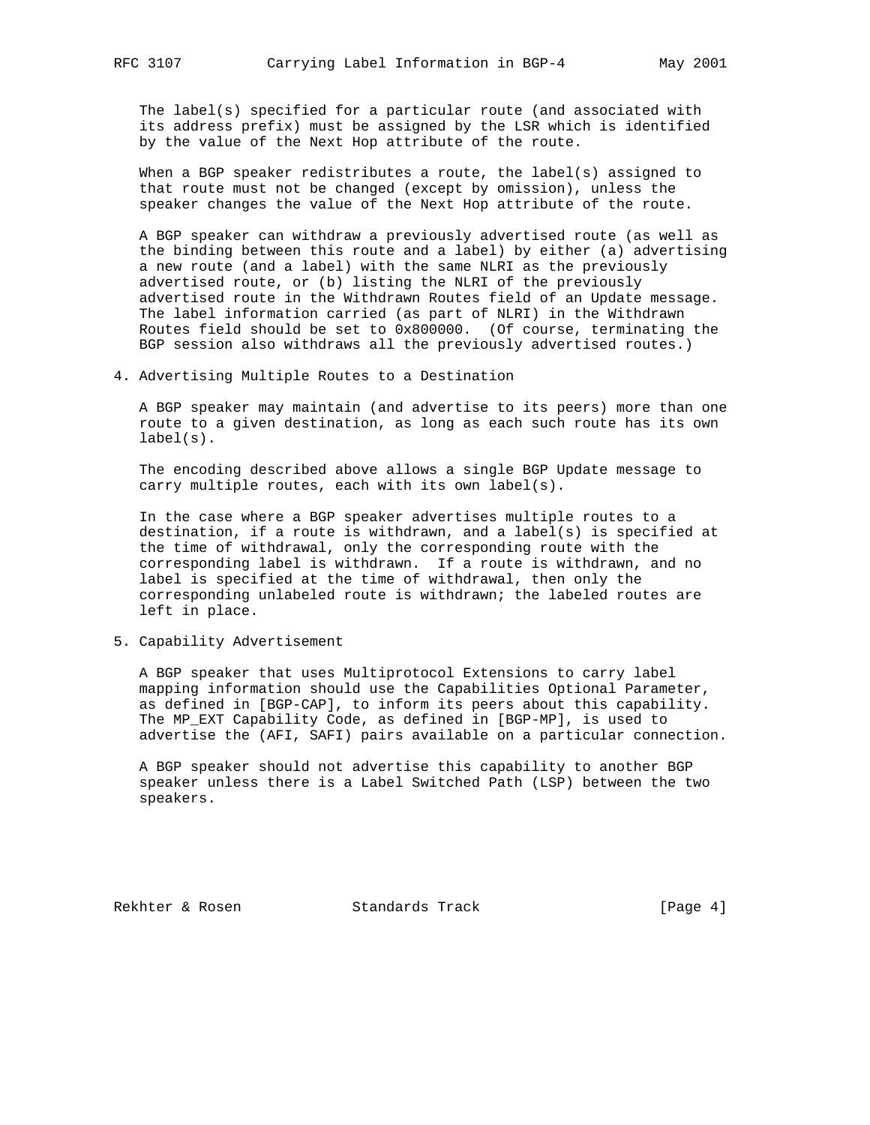The label(s) specified for a particular route (and associated with its address prefix) must be assigned by the LSR which is identified by the value of the Next Hop attribute of the route.

 When a BGP speaker redistributes a route, the label(s) assigned to that route must not be changed (except by omission), unless the speaker changes the value of the Next Hop attribute of the route.

 A BGP speaker can withdraw a previously advertised route (as well as the binding between this route and a label) by either (a) advertising a new route (and a label) with the same NLRI as the previously advertised route, or (b) listing the NLRI of the previously advertised route in the Withdrawn Routes field of an Update message. The label information carried (as part of NLRI) in the Withdrawn Routes field should be set to 0x800000. (Of course, terminating the BGP session also withdraws all the previously advertised routes.)

4. Advertising Multiple Routes to a Destination

 A BGP speaker may maintain (and advertise to its peers) more than one route to a given destination, as long as each such route has its own label(s).

 The encoding described above allows a single BGP Update message to carry multiple routes, each with its own label(s).

 In the case where a BGP speaker advertises multiple routes to a destination, if a route is withdrawn, and a label(s) is specified at the time of withdrawal, only the corresponding route with the corresponding label is withdrawn. If a route is withdrawn, and no label is specified at the time of withdrawal, then only the corresponding unlabeled route is withdrawn; the labeled routes are left in place.

5. Capability Advertisement

 A BGP speaker that uses Multiprotocol Extensions to carry label mapping information should use the Capabilities Optional Parameter, as defined in [BGP-CAP], to inform its peers about this capability. The MP\_EXT Capability Code, as defined in [BGP-MP], is used to advertise the (AFI, SAFI) pairs available on a particular connection.

 A BGP speaker should not advertise this capability to another BGP speaker unless there is a Label Switched Path (LSP) between the two speakers.

Rekhter & Rosen Standards Track [Page 4]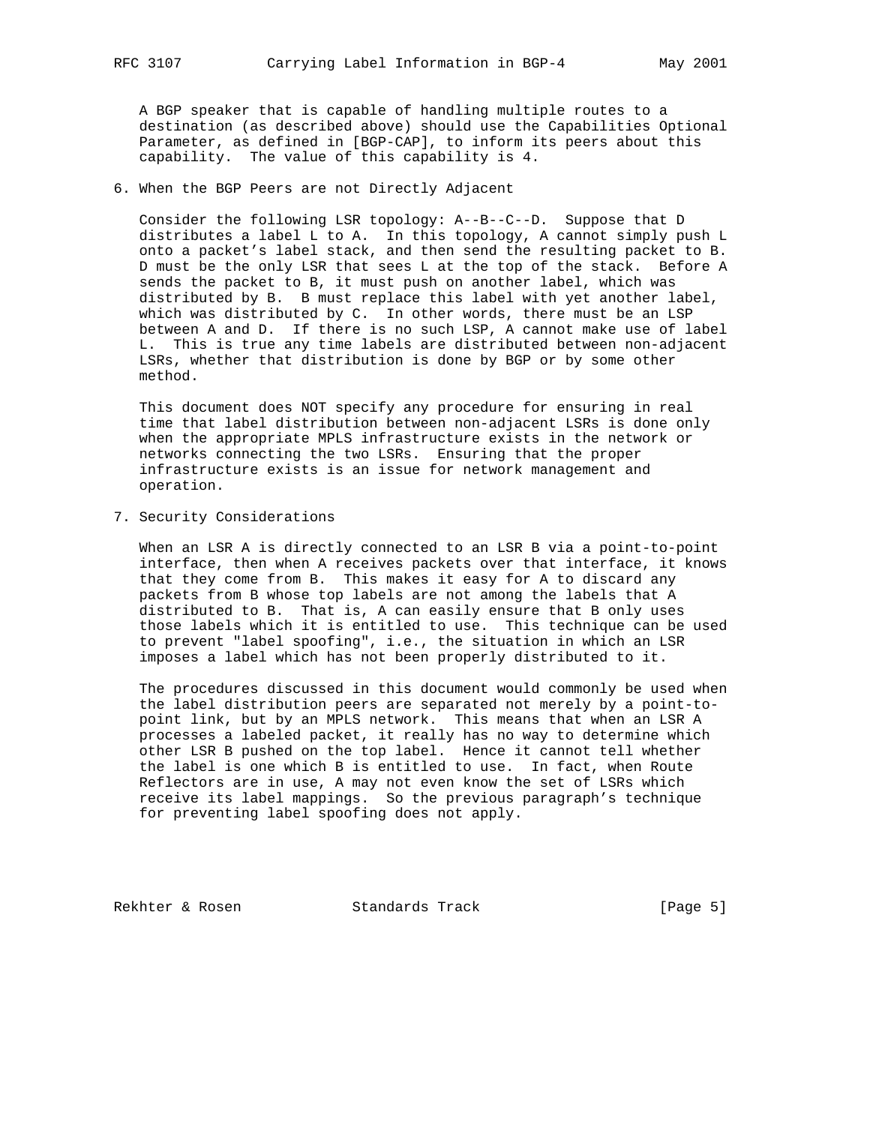A BGP speaker that is capable of handling multiple routes to a destination (as described above) should use the Capabilities Optional Parameter, as defined in [BGP-CAP], to inform its peers about this capability. The value of this capability is 4.

6. When the BGP Peers are not Directly Adjacent

 Consider the following LSR topology: A--B--C--D. Suppose that D distributes a label L to A. In this topology, A cannot simply push L onto a packet's label stack, and then send the resulting packet to B. D must be the only LSR that sees L at the top of the stack. Before A sends the packet to B, it must push on another label, which was distributed by B. B must replace this label with yet another label, which was distributed by C. In other words, there must be an LSP between A and D. If there is no such LSP, A cannot make use of label L. This is true any time labels are distributed between non-adjacent LSRs, whether that distribution is done by BGP or by some other method.

 This document does NOT specify any procedure for ensuring in real time that label distribution between non-adjacent LSRs is done only when the appropriate MPLS infrastructure exists in the network or networks connecting the two LSRs. Ensuring that the proper infrastructure exists is an issue for network management and operation.

7. Security Considerations

 When an LSR A is directly connected to an LSR B via a point-to-point interface, then when A receives packets over that interface, it knows that they come from B. This makes it easy for A to discard any packets from B whose top labels are not among the labels that A distributed to B. That is, A can easily ensure that B only uses those labels which it is entitled to use. This technique can be used to prevent "label spoofing", i.e., the situation in which an LSR imposes a label which has not been properly distributed to it.

 The procedures discussed in this document would commonly be used when the label distribution peers are separated not merely by a point-to point link, but by an MPLS network. This means that when an LSR A processes a labeled packet, it really has no way to determine which other LSR B pushed on the top label. Hence it cannot tell whether the label is one which B is entitled to use. In fact, when Route Reflectors are in use, A may not even know the set of LSRs which receive its label mappings. So the previous paragraph's technique for preventing label spoofing does not apply.

Rekhter & Rosen Standards Track [Page 5]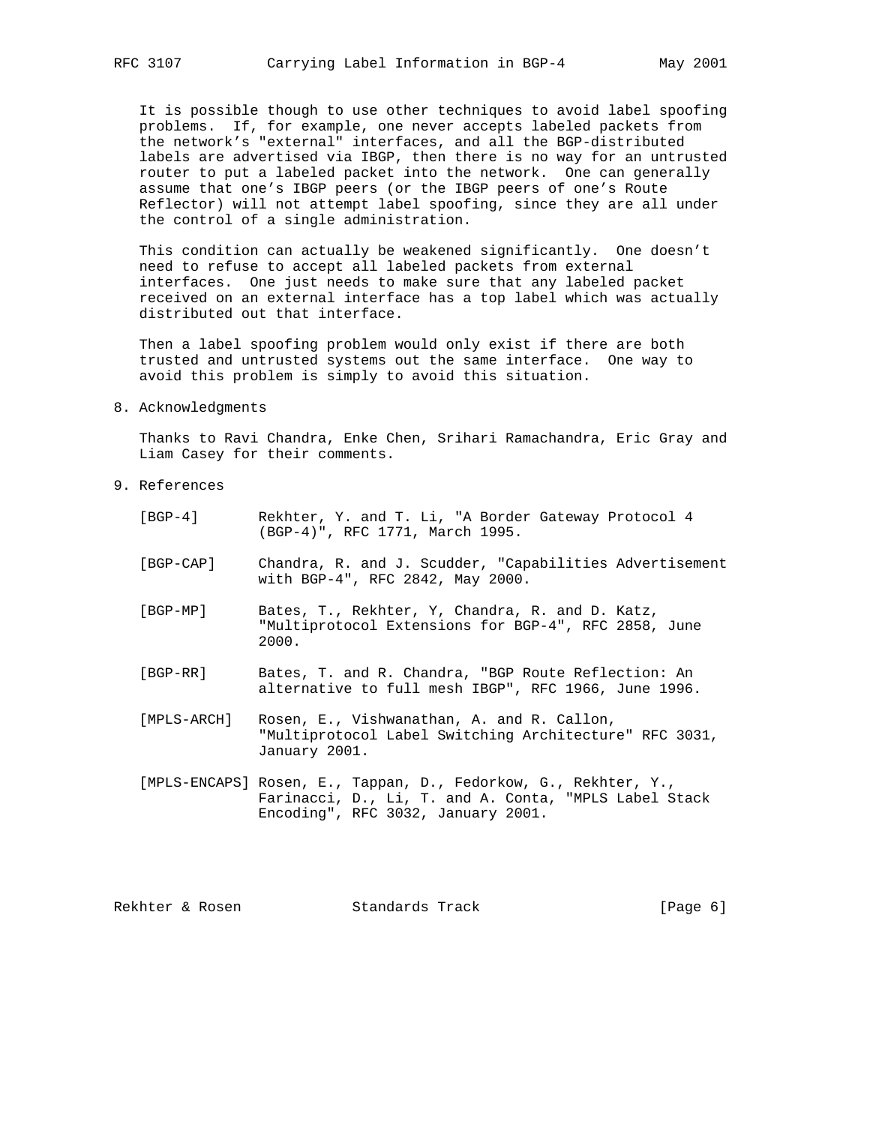It is possible though to use other techniques to avoid label spoofing problems. If, for example, one never accepts labeled packets from the network's "external" interfaces, and all the BGP-distributed labels are advertised via IBGP, then there is no way for an untrusted router to put a labeled packet into the network. One can generally assume that one's IBGP peers (or the IBGP peers of one's Route Reflector) will not attempt label spoofing, since they are all under the control of a single administration.

 This condition can actually be weakened significantly. One doesn't need to refuse to accept all labeled packets from external interfaces. One just needs to make sure that any labeled packet received on an external interface has a top label which was actually distributed out that interface.

 Then a label spoofing problem would only exist if there are both trusted and untrusted systems out the same interface. One way to avoid this problem is simply to avoid this situation.

8. Acknowledgments

 Thanks to Ravi Chandra, Enke Chen, Srihari Ramachandra, Eric Gray and Liam Casey for their comments.

9. References

| [BGP-4]     | Rekhter, Y. and T. Li, "A Border Gateway Protocol 4<br>(BGP-4)", RFC 1771, March 1995.                                                                         |
|-------------|----------------------------------------------------------------------------------------------------------------------------------------------------------------|
| [BGP-CAP]   | Chandra, R. and J. Scudder, "Capabilities Advertisement<br>with BGP-4", RFC 2842, May 2000.                                                                    |
| [BGP-MP]    | Bates, T., Rekhter, Y, Chandra, R. and D. Katz,<br>"Multiprotocol Extensions for BGP-4", RFC 2858, June<br>2000.                                               |
| [BGP-RR]    | Bates, T. and R. Chandra, "BGP Route Reflection: An<br>alternative to full mesh IBGP", RFC 1966, June 1996.                                                    |
| [MPLS-ARCH] | Rosen, E., Vishwanathan, A. and R. Callon,<br>"Multiprotocol Label Switching Architecture" RFC 3031,<br>January 2001.                                          |
|             | [MPLS-ENCAPS] Rosen, E., Tappan, D., Fedorkow, G., Rekhter, Y.,<br>Farinacci, D., Li, T. and A. Conta, "MPLS Label Stack<br>Encoding", RFC 3032, January 2001. |
|             |                                                                                                                                                                |

Rekhter & Rosen Standards Track [Page 6]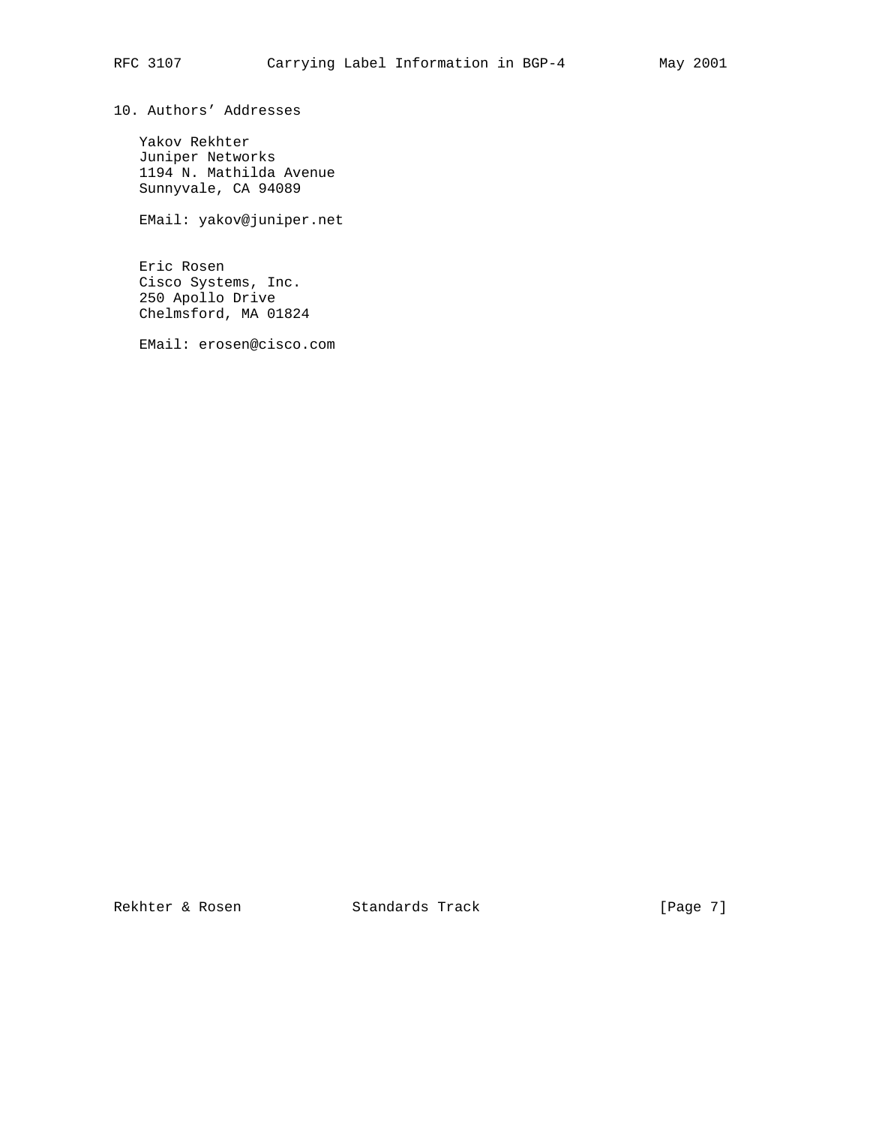10. Authors' Addresses

 Yakov Rekhter Juniper Networks 1194 N. Mathilda Avenue Sunnyvale, CA 94089

EMail: yakov@juniper.net

 Eric Rosen Cisco Systems, Inc. 250 Apollo Drive Chelmsford, MA 01824

EMail: erosen@cisco.com

Rekhter & Rosen Standards Track [Page 7]